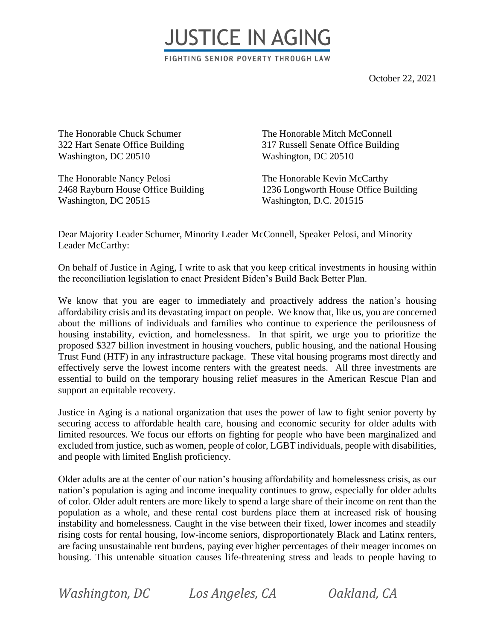

October 22, 2021

The Honorable Chuck Schumer 322 Hart Senate Office Building Washington, DC 20510

The Honorable Nancy Pelosi The Honorable Kevin McCarthy Washington, DC 20515 Washington, D.C. 201515

The Honorable Mitch McConnell 317 Russell Senate Office Building Washington, DC 20510

2468 Rayburn House Office Building 1236 Longworth House Office Building

Dear Majority Leader Schumer, Minority Leader McConnell, Speaker Pelosi, and Minority Leader McCarthy:

On behalf of Justice in Aging, I write to ask that you keep critical investments in housing within the reconciliation legislation to enact President Biden's Build Back Better Plan.

We know that you are eager to immediately and proactively address the nation's housing affordability crisis and its devastating impact on people. We know that, like us, you are concerned about the millions of individuals and families who continue to experience the perilousness of housing instability, eviction, and homelessness. In that spirit, we urge you to prioritize the proposed \$327 billion investment in housing vouchers, public housing, and the national Housing Trust Fund (HTF) in any infrastructure package. These vital housing programs most directly and effectively serve the lowest income renters with the greatest needs. All three investments are essential to build on the temporary housing relief measures in the American Rescue Plan and support an equitable recovery.

Justice in Aging is a national organization that uses the power of law to fight senior poverty by securing access to affordable health care, housing and economic security for older adults with limited resources. We focus our efforts on fighting for people who have been marginalized and excluded from justice, such as women, people of color, LGBT individuals, people with disabilities, and people with limited English proficiency.

Older adults are at the center of our nation's housing affordability and homelessness crisis, as our nation's population is aging and income inequality continues to grow, especially for older adults of color. Older adult renters are more likely to spend a large share of their income on rent than the population as a whole, and these rental cost burdens place them at increased risk of housing instability and homelessness. Caught in the vise between their fixed, lower incomes and steadily rising costs for rental housing, low-income seniors, disproportionately Black and Latinx renters, are facing unsustainable rent burdens, paying ever higher percentages of their meager incomes on housing. This untenable situation causes life-threatening stress and leads to people having to

*Washington, DC Los Angeles, CA Oakland, CA*